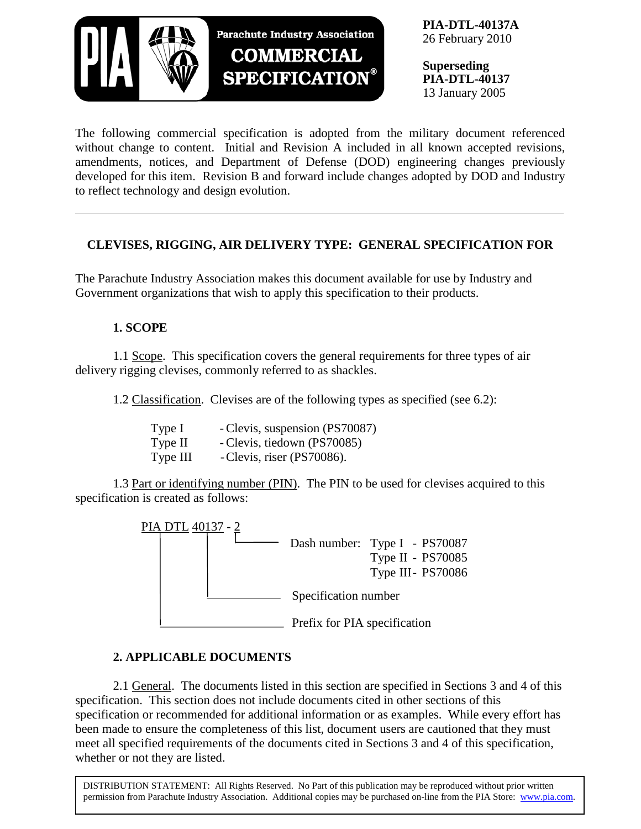

**PIA-DTL-40137A** 26 February 2010

**Superseding PIA-DTL-40137** 13 January 2005

The following commercial specification is adopted from the military document referenced without change to content. Initial and Revision A included in all known accepted revisions, amendments, notices, and Department of Defense (DOD) engineering changes previously developed for this item. Revision B and forward include changes adopted by DOD and Industry to reflect technology and design evolution.

# **CLEVISES, RIGGING, AIR DELIVERY TYPE: GENERAL SPECIFICATION FOR**

The Parachute Industry Association makes this document available for use by Industry and Government organizations that wish to apply this specification to their products.

# **1. SCOPE**

1.1 Scope. This specification covers the general requirements for three types of air delivery rigging clevises, commonly referred to as shackles.

1.2 Classification. Clevises are of the following types as specified (see 6.2):

| Type I   | - Clevis, suspension (PS70087) |
|----------|--------------------------------|
| Type II  | - Clevis, tiedown (PS70085)    |
| Type III | - Clevis, riser (PS70086).     |

1.3 Part or identifying number (PIN). The PIN to be used for clevises acquired to this specification is created as follows:



## **2. APPLICABLE DOCUMENTS**

2.1 General. The documents listed in this section are specified in Sections 3 and 4 of this specification. This section does not include documents cited in other sections of this specification or recommended for additional information or as examples. While every effort has been made to ensure the completeness of this list, document users are cautioned that they must meet all specified requirements of the documents cited in Sections 3 and 4 of this specification, whether or not they are listed.

DISTRIBUTION STATEMENT: All Rights Reserved. No Part of this publication may be reproduced without prior written permission from Parachute Industry Association. Additional copies may be purchased on-line from the PIA Store: [www.pia.com.](http://www.pia.com/)